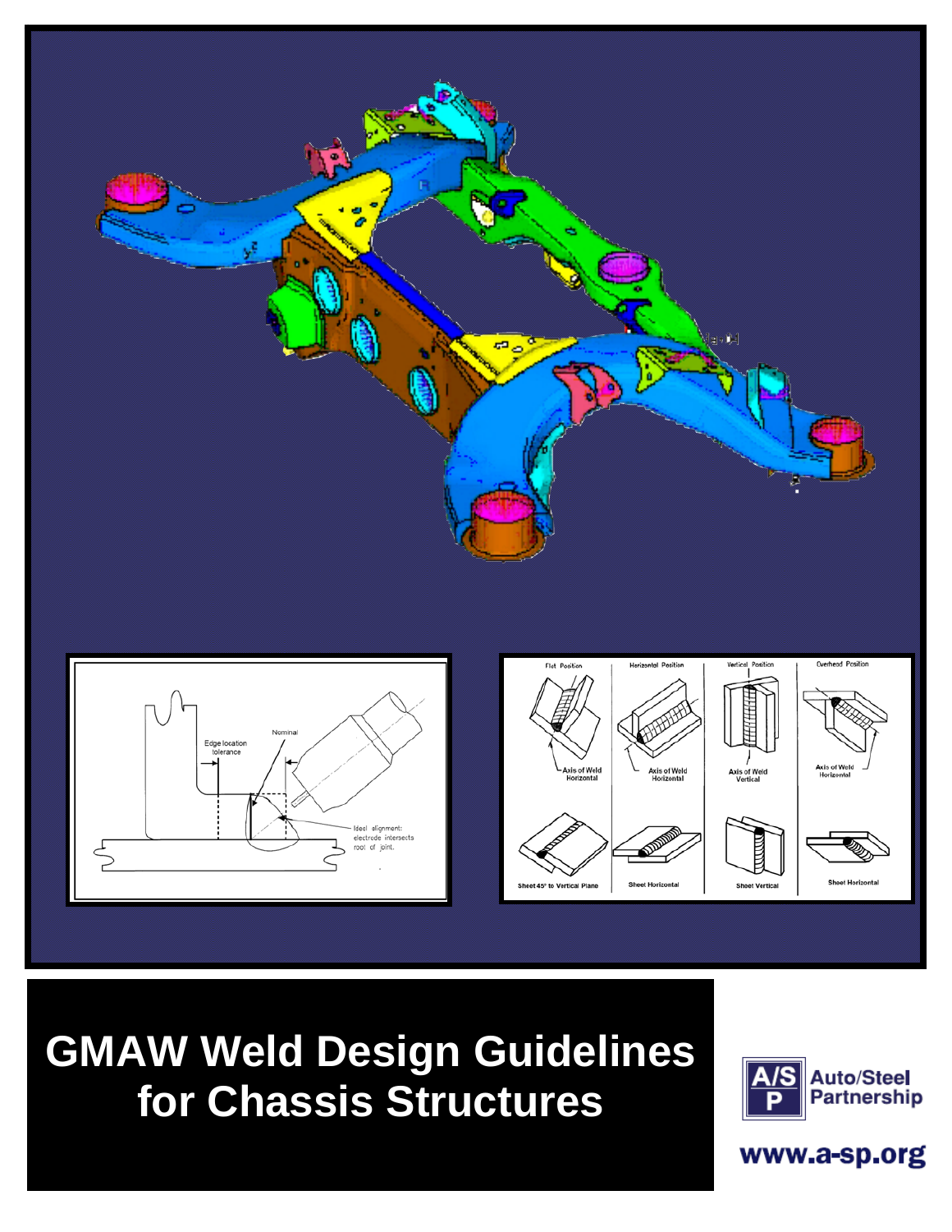

**GMAW Weld Design Guidelines for Chassis Structures**



 $\mathbf{w}$  we we design  $\mathbf{w}$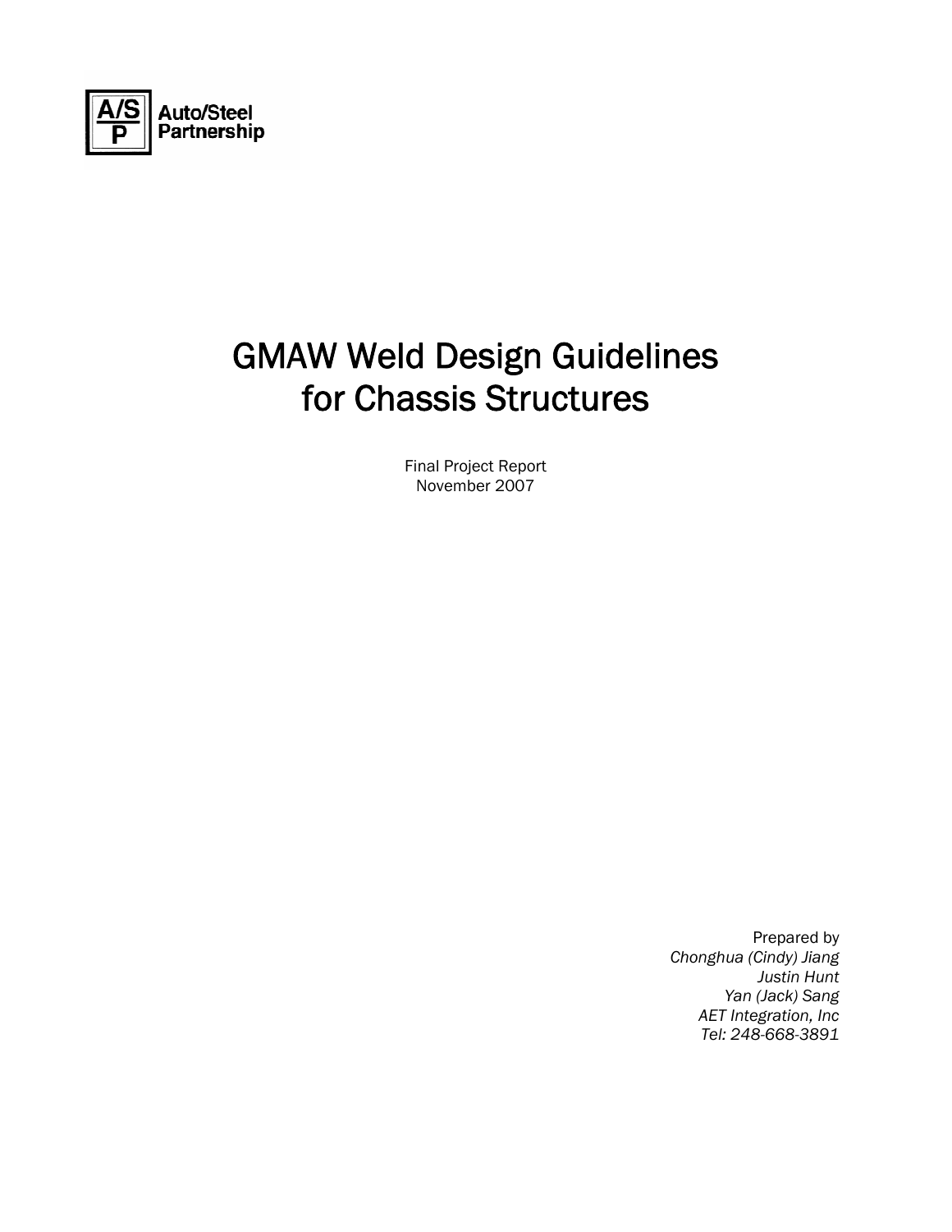

# GMAW Weld Design Guidelines for Chassis Structures

Final Project Report November 2007

> Prepared by *Chonghua (Cindy) Jiang Justin Hunt Yan (Jack) Sang AET Integration, Inc Tel: 248-668-3891*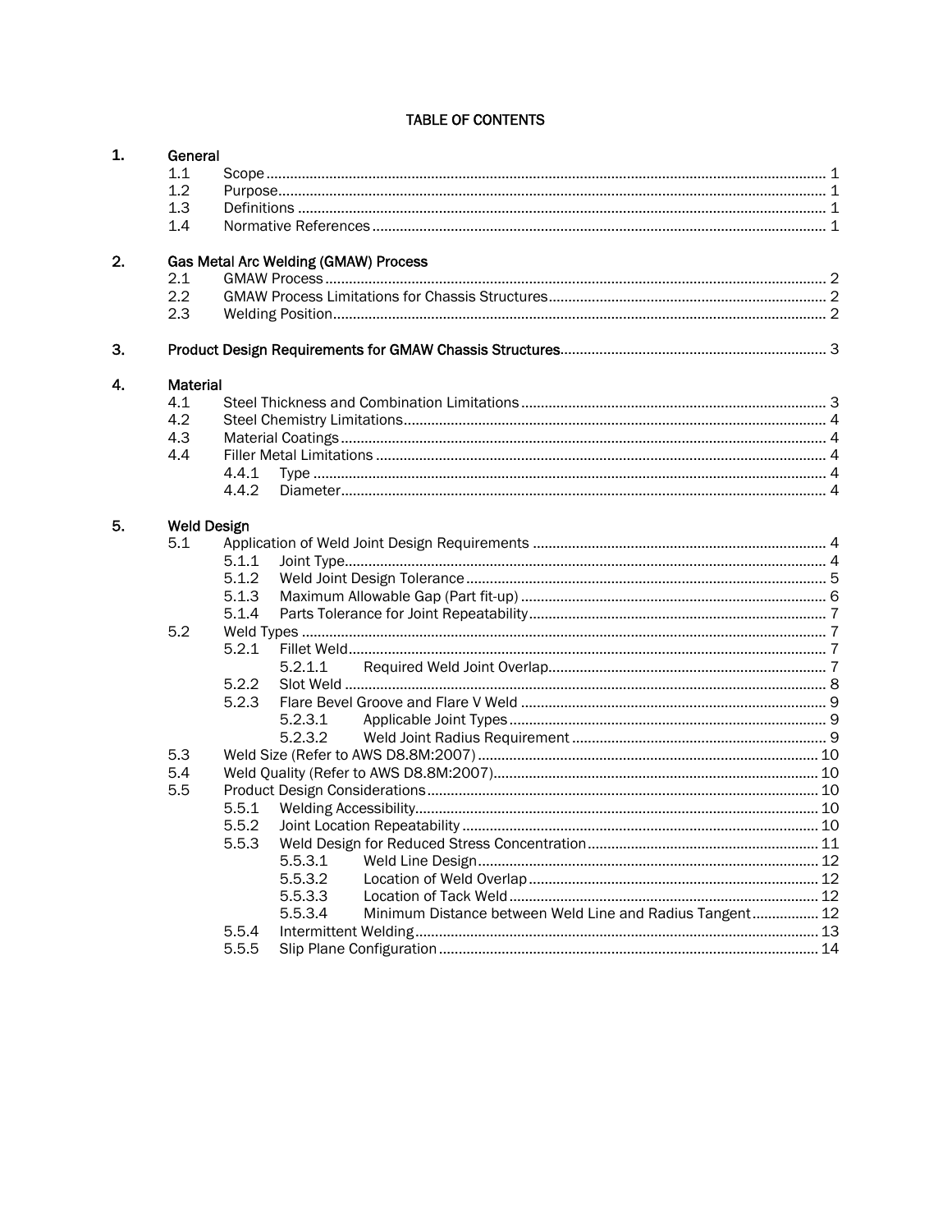#### TABLE OF CONTENTS

| 1. | General    |                                      |                                                                     |  |  |  |
|----|------------|--------------------------------------|---------------------------------------------------------------------|--|--|--|
|    | 1.1        |                                      |                                                                     |  |  |  |
|    | 1.2        |                                      |                                                                     |  |  |  |
|    | 1.3        |                                      |                                                                     |  |  |  |
|    | 1.4        |                                      |                                                                     |  |  |  |
| 2. |            |                                      |                                                                     |  |  |  |
|    | 2.1        | Gas Metal Arc Welding (GMAW) Process |                                                                     |  |  |  |
|    |            |                                      |                                                                     |  |  |  |
|    | 2.2<br>2.3 |                                      |                                                                     |  |  |  |
|    |            |                                      |                                                                     |  |  |  |
| З. |            |                                      |                                                                     |  |  |  |
| 4. |            | Material                             |                                                                     |  |  |  |
|    | 4.1        |                                      |                                                                     |  |  |  |
|    | 4.2        |                                      |                                                                     |  |  |  |
|    | 4.3        |                                      |                                                                     |  |  |  |
|    | 4.4        |                                      |                                                                     |  |  |  |
|    |            | 4.4.1                                |                                                                     |  |  |  |
|    |            | 4.4.2                                |                                                                     |  |  |  |
| 5. |            |                                      |                                                                     |  |  |  |
|    | 5.1        | <b>Weld Design</b>                   |                                                                     |  |  |  |
|    |            |                                      |                                                                     |  |  |  |
|    |            | 5.1.1                                |                                                                     |  |  |  |
|    |            | 5.1.2                                |                                                                     |  |  |  |
|    |            | 5.1.3                                |                                                                     |  |  |  |
|    | 5.1.4      |                                      |                                                                     |  |  |  |
|    | 5.2        |                                      |                                                                     |  |  |  |
|    |            | 5.2.1                                |                                                                     |  |  |  |
|    |            |                                      | 5.2.1.1                                                             |  |  |  |
|    |            | 5.2.2                                |                                                                     |  |  |  |
|    |            | 5.2.3                                |                                                                     |  |  |  |
|    |            |                                      | 5.2.3.1                                                             |  |  |  |
|    |            |                                      | 5.2.3.2                                                             |  |  |  |
|    | 5.3        |                                      |                                                                     |  |  |  |
|    | 5.4        |                                      |                                                                     |  |  |  |
|    | 5.5        |                                      |                                                                     |  |  |  |
|    |            | 5.5.1                                |                                                                     |  |  |  |
|    |            | 5.5.2                                |                                                                     |  |  |  |
|    |            | 5.5.3                                |                                                                     |  |  |  |
|    |            |                                      | 5.5.3.1                                                             |  |  |  |
|    |            |                                      | 5.5.3.2                                                             |  |  |  |
|    |            |                                      |                                                                     |  |  |  |
|    |            |                                      | 5.5.3.3                                                             |  |  |  |
|    |            |                                      | Minimum Distance between Weld Line and Radius Tangent 12<br>5.5.3.4 |  |  |  |
|    |            | 5.5.4                                |                                                                     |  |  |  |
|    |            | 5.5.5                                |                                                                     |  |  |  |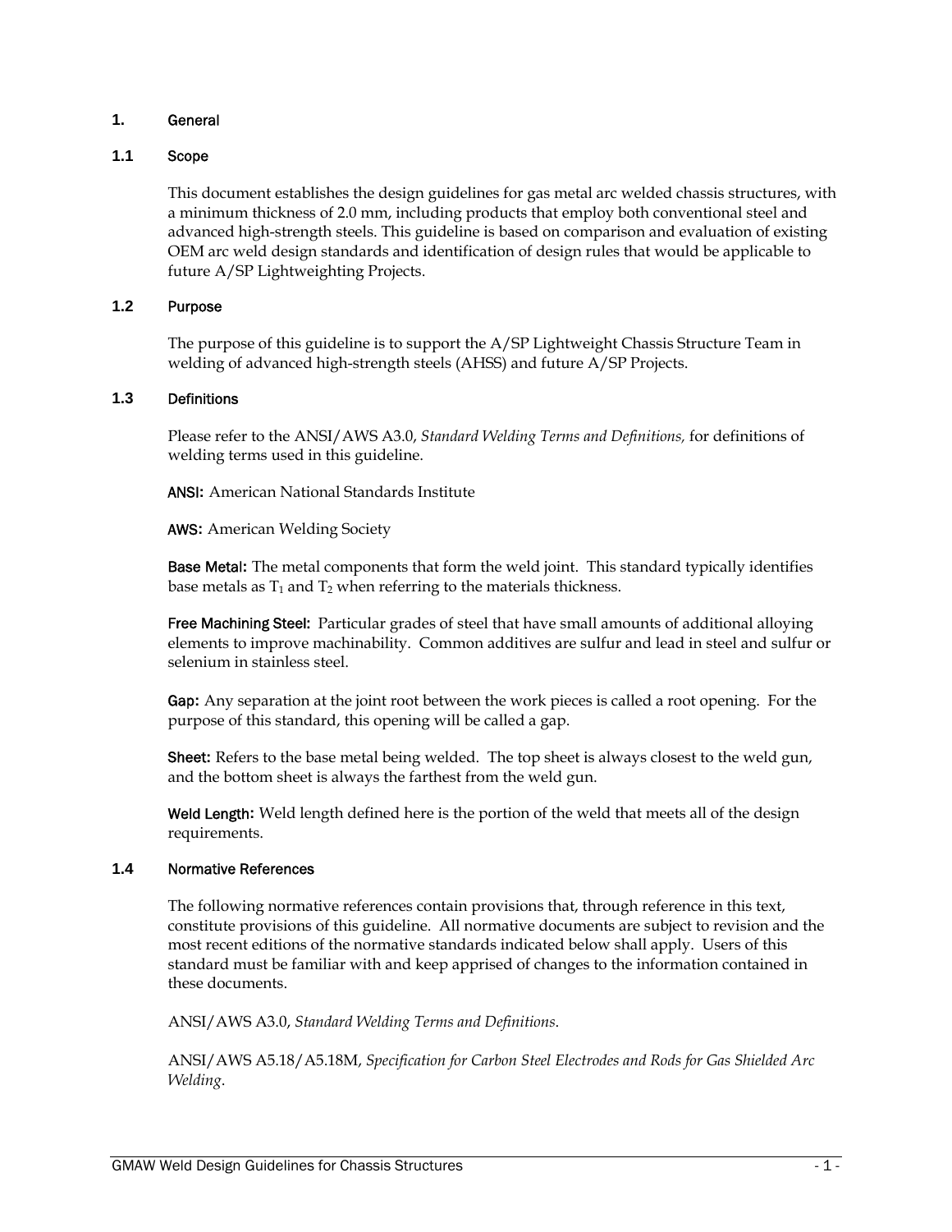# **1.** General

# **1.1** Scope

This document establishes the design guidelines for gas metal arc welded chassis structures, with a minimum thickness of 2.0 mm, including products that employ both conventional steel and advanced high-strength steels. This guideline is based on comparison and evaluation of existing OEM arc weld design standards and identification of design rules that would be applicable to future A/SP Lightweighting Projects.

# **1.2** Purpose

The purpose of this guideline is to support the A/SP Lightweight Chassis Structure Team in welding of advanced high-strength steels (AHSS) and future A/SP Projects.

# **1.3** Definitions

Please refer to the ANSI/AWS A3.0, *Standard Welding Terms and Definitions,* for definitions of welding terms used in this guideline.

ANSI**:** American National Standards Institute

AWS**:** American Welding Society

Base Metal**:** The metal components that form the weld joint. This standard typically identifies base metals as  $T_1$  and  $T_2$  when referring to the materials thickness.

Free Machining Steel: Particular grades of steel that have small amounts of additional alloying elements to improve machinability. Common additives are sulfur and lead in steel and sulfur or selenium in stainless steel.

Gap**:** Any separation at the joint root between the work pieces is called a root opening. For the purpose of this standard, this opening will be called a gap.

Sheet**:** Refers to the base metal being welded. The top sheet is always closest to the weld gun, and the bottom sheet is always the farthest from the weld gun.

Weld Length**:** Weld length defined here is the portion of the weld that meets all of the design requirements.

#### **1.4** Normative References

The following normative references contain provisions that, through reference in this text, constitute provisions of this guideline. All normative documents are subject to revision and the most recent editions of the normative standards indicated below shall apply. Users of this standard must be familiar with and keep apprised of changes to the information contained in these documents.

ANSI/AWS A3.0, *Standard Welding Terms and Definitions*.

ANSI/AWS A5.18/A5.18M, *Specification for Carbon Steel Electrodes and Rods for Gas Shielded Arc Welding*.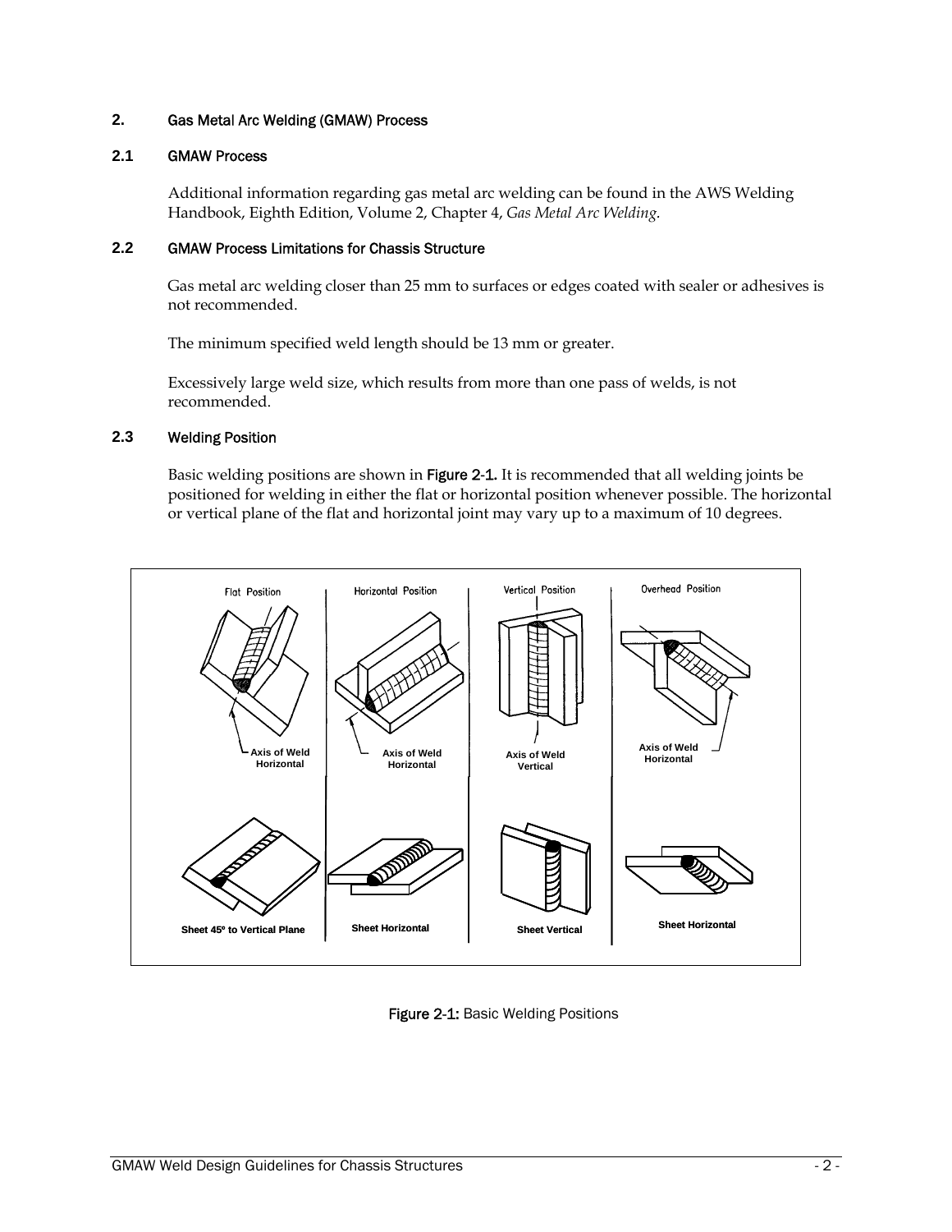# **2.** Gas Metal Arc Welding (GMAW) Process

# **2.1** GMAW Process

Additional information regarding gas metal arc welding can be found in the AWS Welding Handbook, Eighth Edition, Volume 2, Chapter 4, *Gas Metal Arc Welding.*

# **2.2** GMAW Process Limitations for Chassis Structure

Gas metal arc welding closer than 25 mm to surfaces or edges coated with sealer or adhesives is not recommended.

The minimum specified weld length should be 13 mm or greater.

Excessively large weld size, which results from more than one pass of welds, is not recommended.

# **2.3** Welding Position

Basic welding positions are shown in Figure 2-1**.** It is recommended that all welding joints be positioned for welding in either the flat or horizontal position whenever possible. The horizontal or vertical plane of the flat and horizontal joint may vary up to a maximum of 10 degrees.



Figure 2-1: Basic Welding Positions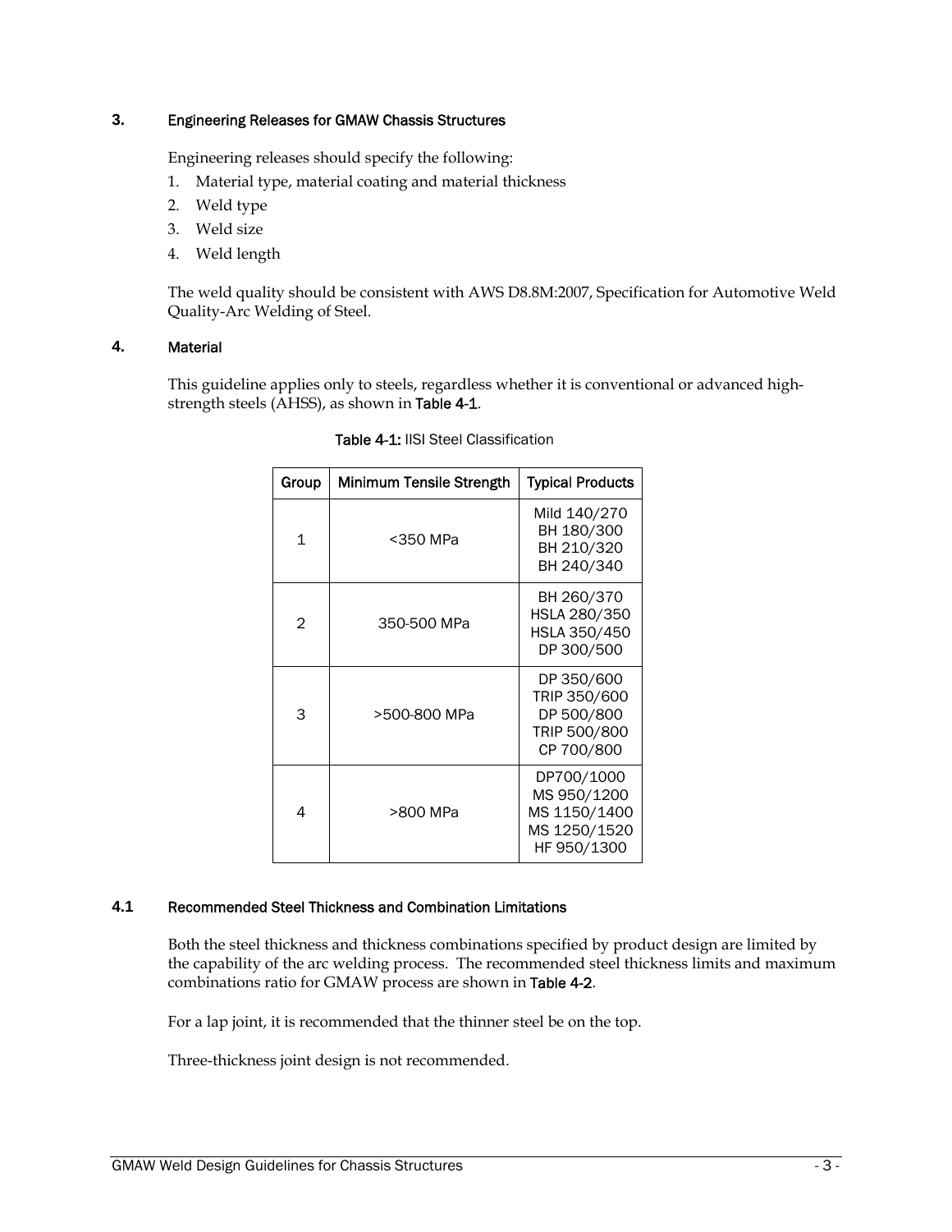# **3.** Engineering Releases for GMAW Chassis Structures

Engineering releases should specify the following:

- 1. Material type, material coating and material thickness
- 2. Weld type
- 3. Weld size
- 4. Weld length

The weld quality should be consistent with AWS D8.8M:2007, Specification for Automotive Weld Quality-Arc Welding of Steel.

# **4.** Material

This guideline applies only to steels, regardless whether it is conventional or advanced highstrength steels (AHSS), as shown in Table 4-1.

| Group          | Minimum Tensile Strength | <b>Typical Products</b>                                                  |
|----------------|--------------------------|--------------------------------------------------------------------------|
| $\mathbf{1}$   | <350 MPa                 | Mild 140/270<br>BH 180/300<br>BH 210/320<br>BH 240/340                   |
| $\mathfrak{D}$ | 350-500 MPa              | BH 260/370<br>HSLA 280/350<br>HSLA 350/450<br>DP 300/500                 |
| 3              | >500-800 MPa             | DP 350/600<br>TRIP 350/600<br>DP 500/800<br>TRIP 500/800<br>CP 700/800   |
| 4              | >800 MPa                 | DP700/1000<br>MS 950/1200<br>MS 1150/1400<br>MS 1250/1520<br>HF 950/1300 |

Table 4-1: IISI Steel Classification

# **4.1** Recommended Steel Thickness and Combination Limitations

Both the steel thickness and thickness combinations specified by product design are limited by the capability of the arc welding process. The recommended steel thickness limits and maximum combinations ratio for GMAW process are shown in Table 4-2.

For a lap joint, it is recommended that the thinner steel be on the top.

Three-thickness joint design is not recommended.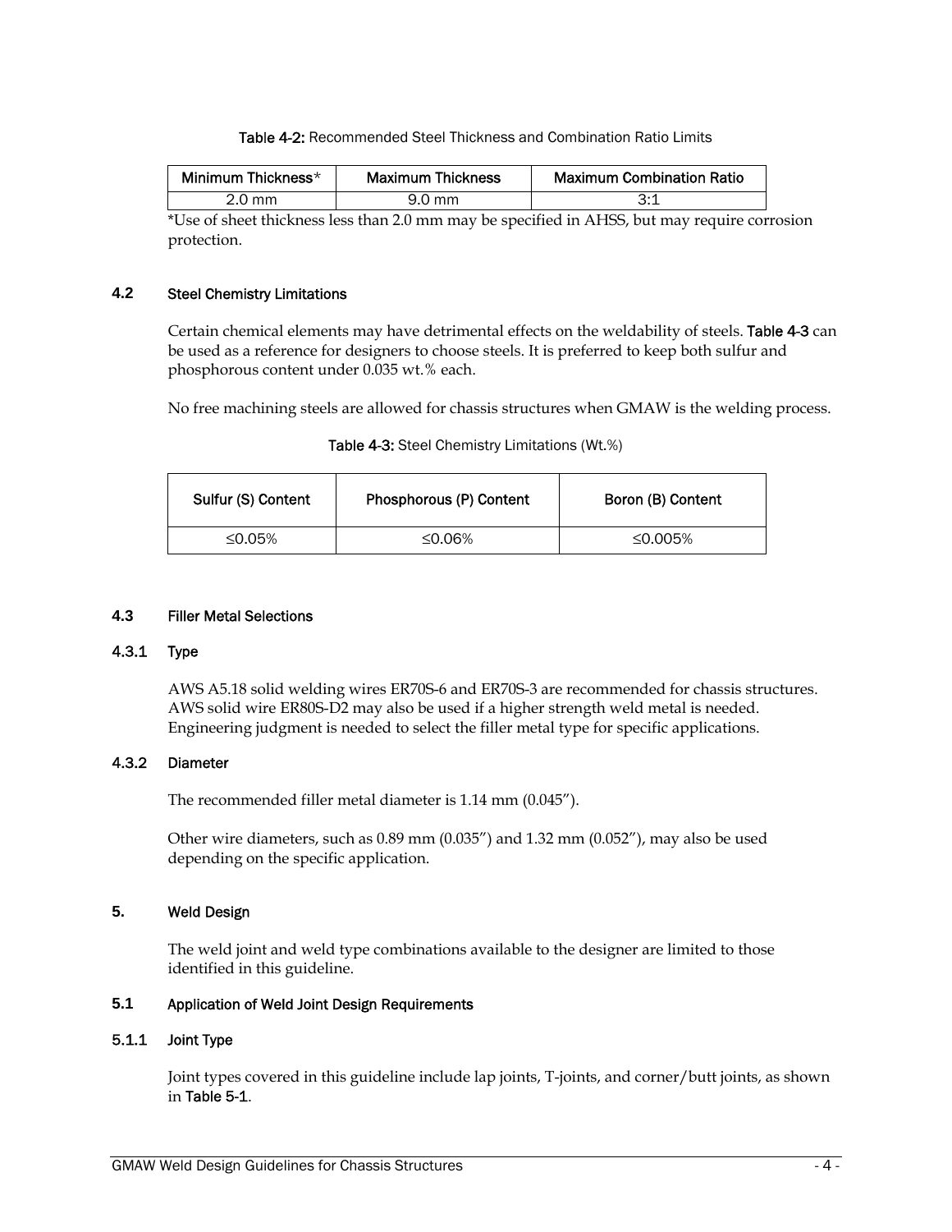Table 4-2: Recommended Steel Thickness and Combination Ratio Limits

| Minimum Thickness* | <b>Maximum Thickness</b> | Maximum Combination Ratio |
|--------------------|--------------------------|---------------------------|
| 2.0 mm             | 9.0 mm                   |                           |

\*Use of sheet thickness less than 2.0 mm may be specified in AHSS, but may require corrosion protection.

#### **Steel Chemistry Limitations**

Certain chemical elements may have detrimental effects on the weldability of steels. Table 4-3 can be used as a reference for designers to choose steels. It is preferred to keep both sulfur and phosphorous content under 0.035 wt.% each.

No free machining steels are allowed for chassis structures when GMAW is the welding process.

| <b>Table 4-3:</b> Steel Chemistry Limitations (Wt.%) |  |
|------------------------------------------------------|--|
|------------------------------------------------------|--|

| Sulfur (S) Content | Phosphorous (P) Content | Boron (B) Content |  |
|--------------------|-------------------------|-------------------|--|
| ≤0.05%             | ≤0.06%                  | ≤0.005%           |  |

# **4.3** Filler Metal Selections

# 4.3.1 Type

AWS A5.18 solid welding wires ER70S-6 and ER70S-3 are recommended for chassis structures. AWS solid wire ER80S-D2 may also be used if a higher strength weld metal is needed. Engineering judgment is needed to select the filler metal type for specific applications.

# 4.3.2 Diameter

The recommended filler metal diameter is 1.14 mm (0.045").

Other wire diameters, such as 0.89 mm (0.035") and 1.32 mm (0.052"), may also be used depending on the specific application.

## **5.** Weld Design

The weld joint and weld type combinations available to the designer are limited to those identified in this guideline.

# **5.1** Application of Weld Joint Design Requirements

#### 5.1.1 Joint Type

Joint types covered in this guideline include lap joints, T-joints, and corner/butt joints, as shown in Table 5-1.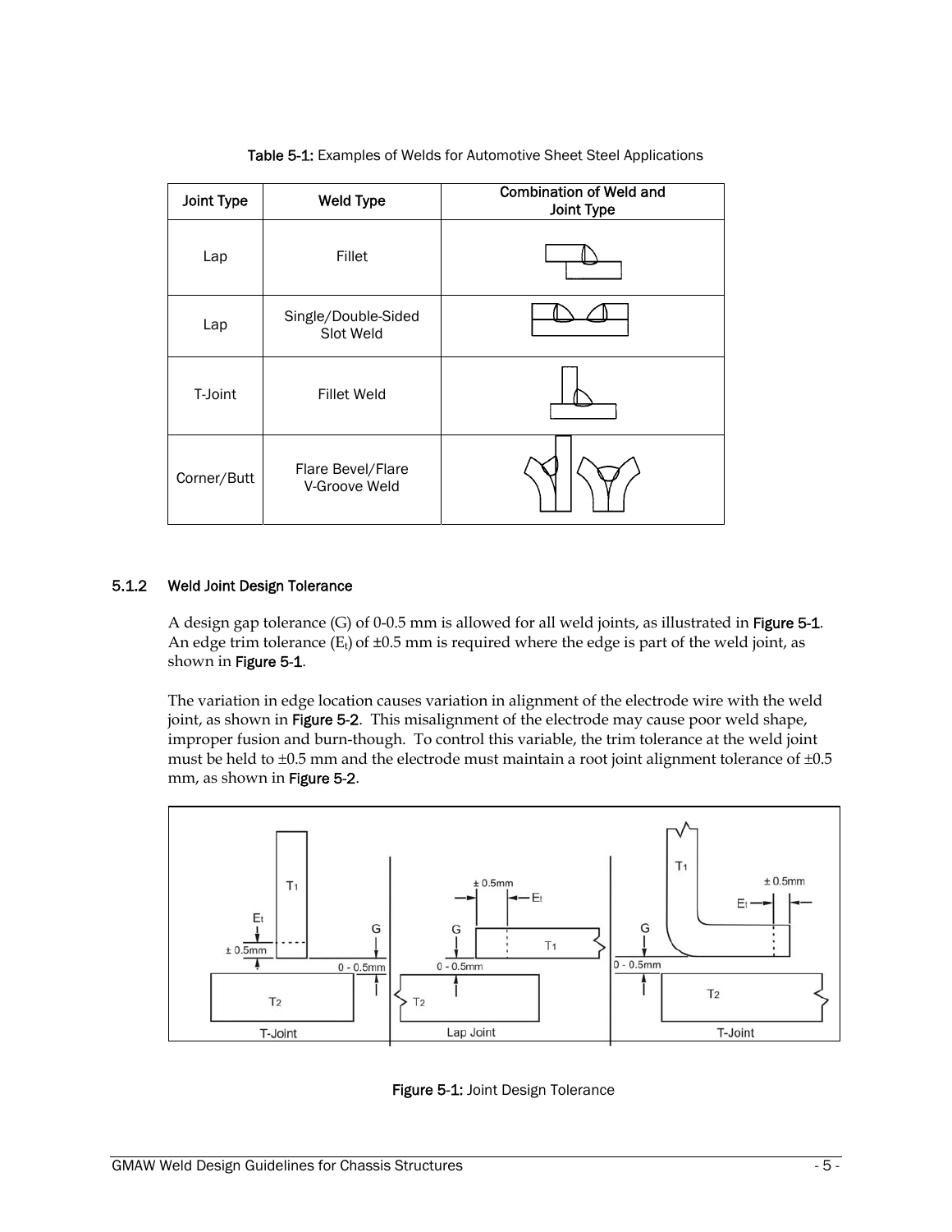| Joint Type  | <b>Weld Type</b>                   | <b>Combination of Weld and</b><br>Joint Type |
|-------------|------------------------------------|----------------------------------------------|
| Lap         | Fillet                             |                                              |
| Lap         | Single/Double-Sided<br>Slot Weld   |                                              |
| T-Joint     | <b>Fillet Weld</b>                 |                                              |
| Corner/Butt | Flare Bevel/Flare<br>V-Groove Weld |                                              |

Table 5-1: Examples of Welds for Automotive Sheet Steel Applications

# 5.1.2 Weld Joint Design Tolerance

A design gap tolerance (G) of 0-0.5 mm is allowed for all weld joints, as illustrated in [Figure 5-1](#page-8-0). An edge trim tolerance  $(E_t)$  of  $\pm 0.5$  mm is required where the edge is part of the weld joint, as shown in [Figure 5-1](#page-8-0).

The variation in edge location causes variation in alignment of the electrode wire with the weld joint, as shown in [Figure 5-](#page-8-0)2. This misalignment of the electrode may cause poor weld shape, improper fusion and burn-though. To control this variable, the trim tolerance at the weld joint must be held to  $\pm 0.5$  mm and the electrode must maintain a root joint alignment tolerance of  $\pm 0.5$ mm, as shown in [Figure 5-2](#page-8-0).



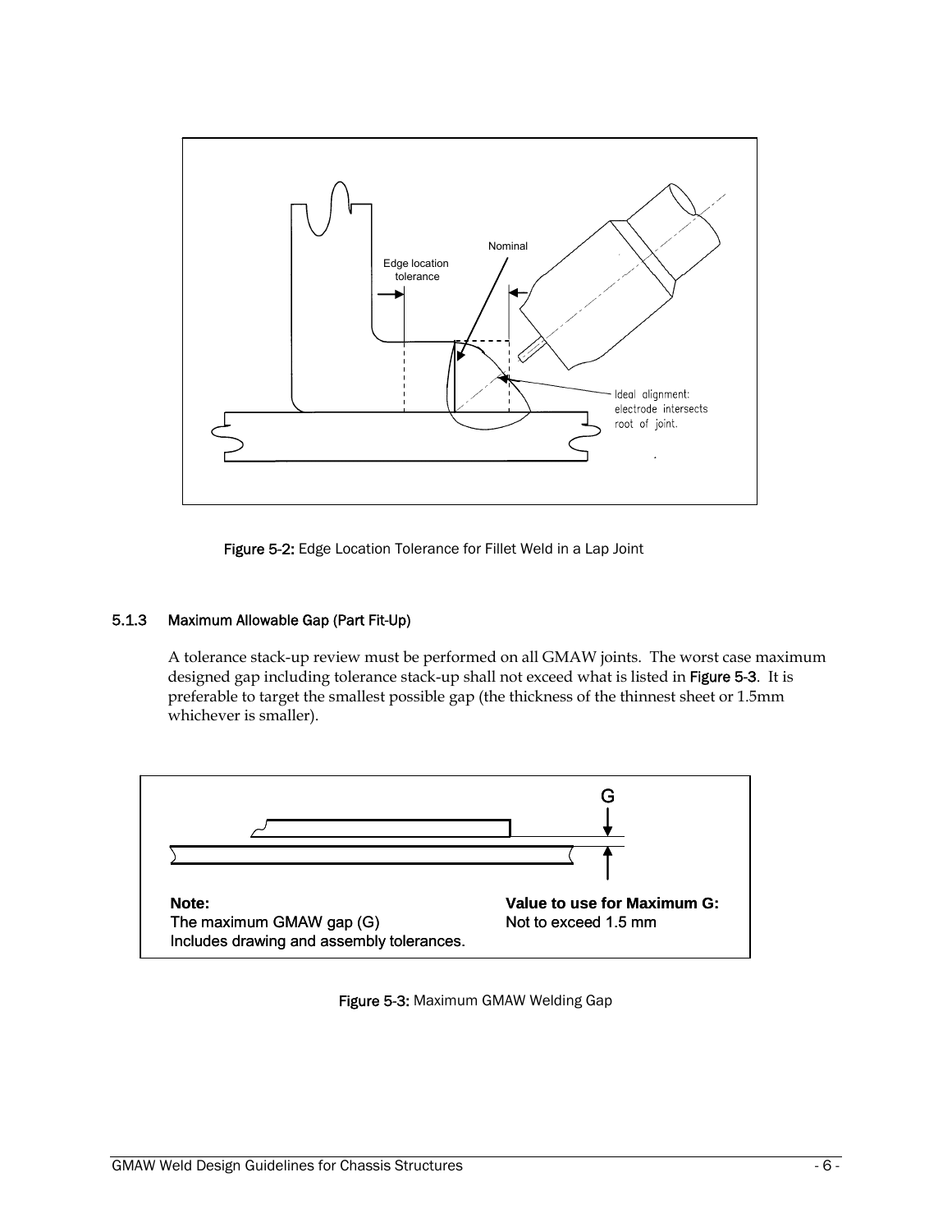

Figure 5-2: Edge Location Tolerance for Fillet Weld in a Lap Joint

# <span id="page-8-0"></span>5.1.3 Maximum Allowable Gap (Part Fit-Up)

A tolerance stack-up review must be performed on all GMAW joints. The worst case maximum designed gap including tolerance stack-up shall not exceed what is listed in Figure 5-3. It is preferable to target the smallest possible gap (the thickness of the thinnest sheet or 1.5mm whichever is smaller).



Figure 5-3: Maximum GMAW Welding Gap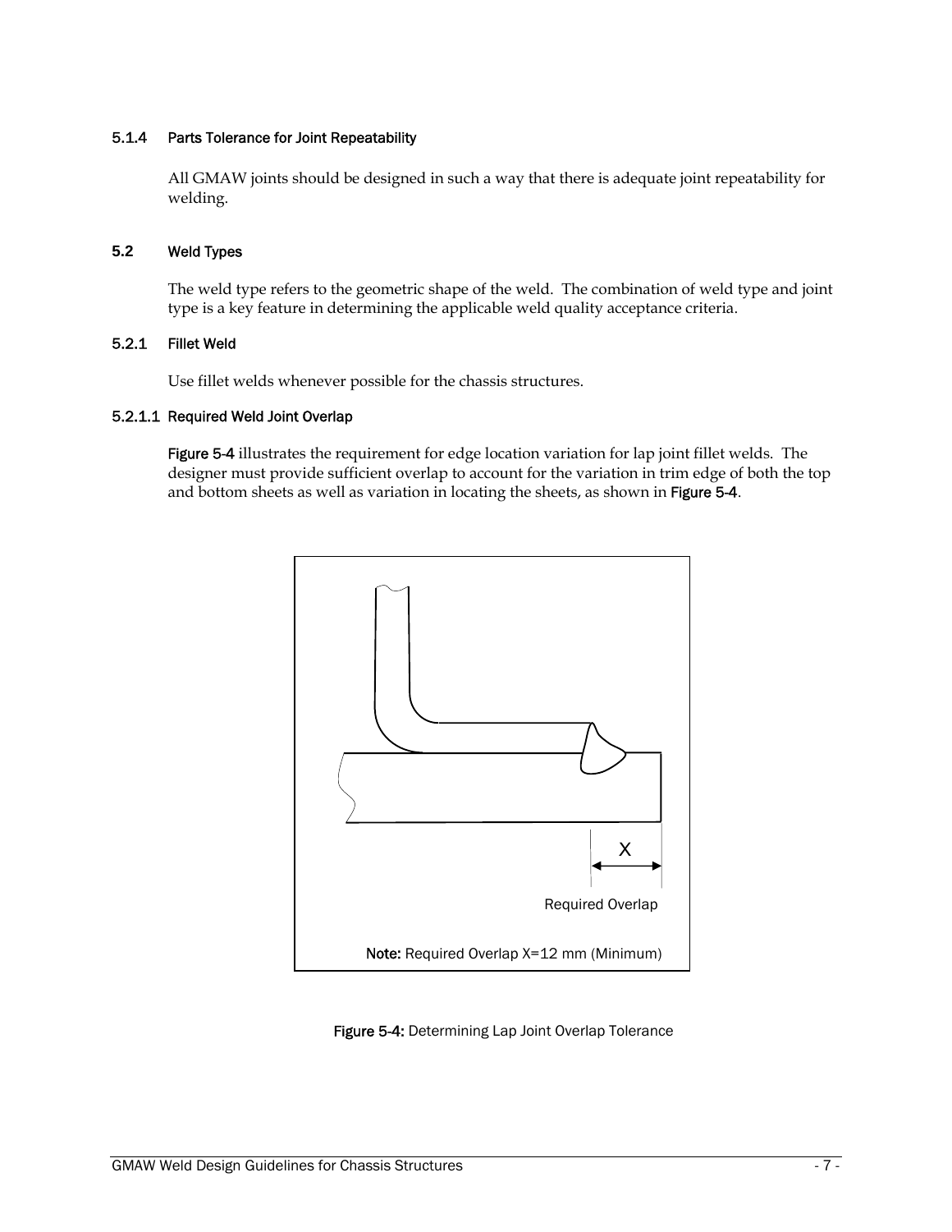# 5.1.4 Parts Tolerance for Joint Repeatability

All GMAW joints should be designed in such a way that there is adequate joint repeatability for welding.

#### **5.2** Weld Types

The weld type refers to the geometric shape of the weld. The combination of weld type and joint type is a key feature in determining the applicable weld quality acceptance criteria.

# 5.2.1 Fillet Weld

Use fillet welds whenever possible for the chassis structures.

# 5.2.1.1 Required Weld Joint Overlap

Figure 5-4 illustrates the requirement for edge location variation for lap joint fillet welds. The designer must provide sufficient overlap to account for the variation in trim edge of both the top and bottom sheets as well as variation in locating the sheets, as shown in [Figure 5-4](#page-8-0).



Figure 5-4: Determining Lap Joint Overlap Tolerance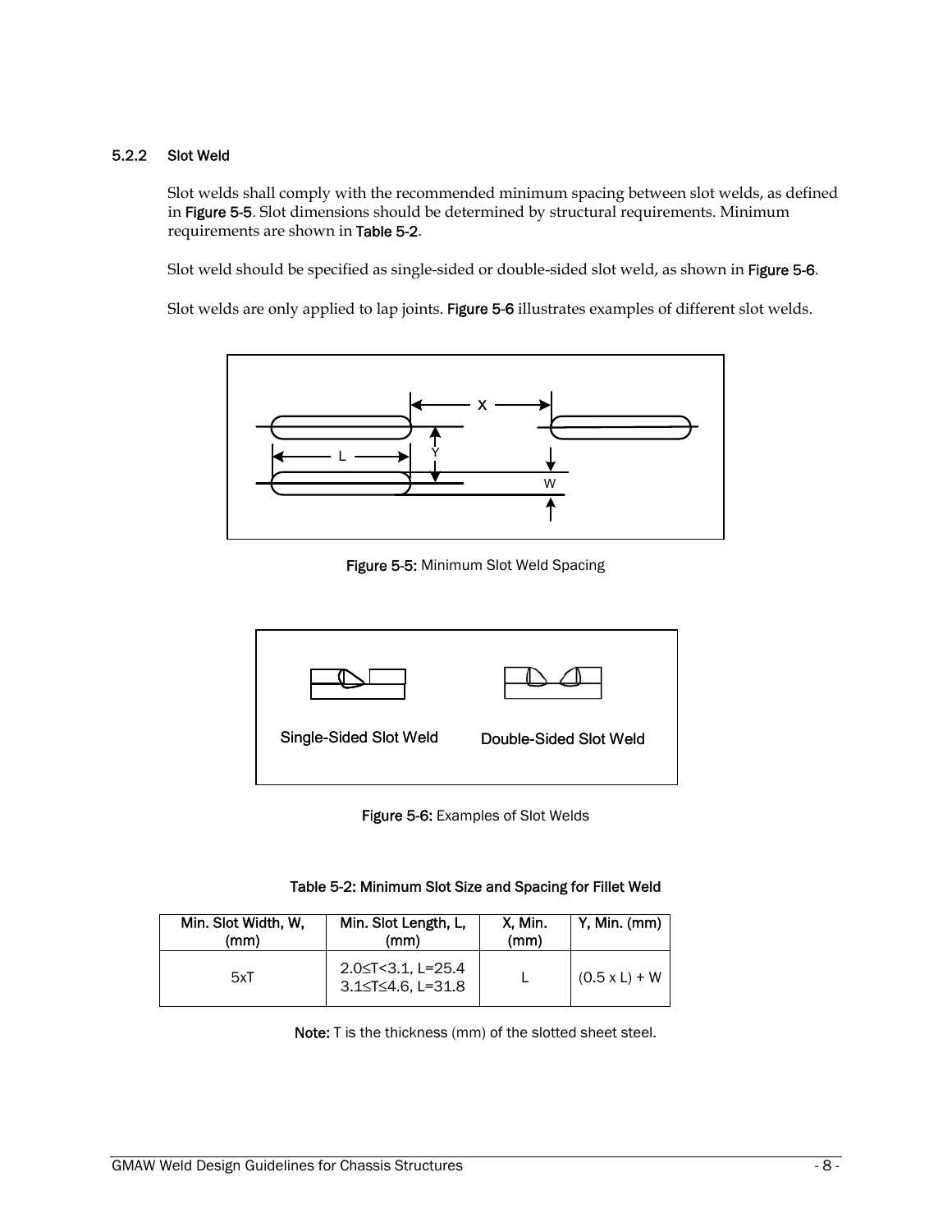# 5.2.2 Slot Weld

Slot welds shall comply with the recommended minimum spacing between slot welds, as defined in Figure 5-5. Slot dimensions should be determined by structural requirements. Minimum requirements are shown in Table 5-2.

Slot weld should be specified as single-sided or double-sided slot weld, as shown in Figure 5-6.

Slot welds are only applied to lap joints. Figure 5-6 illustrates examples of different slot welds.



Figure 5-5: Minimum Slot Weld Spacing



Figure 5-6: Examples of Slot Welds

Table 5-2: Minimum Slot Size and Spacing for Fillet Weld

| Min. Slot Width, W, | Min. Slot Length, L,                             | X. Min. | Y, Min. (mm)    |
|---------------------|--------------------------------------------------|---------|-----------------|
| (mm)                | (mm)                                             | (mm)    |                 |
| 5xT                 | $2.0 \leq T < 3.1$ , L=25.4<br>3.1≤T≤4.6, L=31.8 |         | $(0.5 x L) + W$ |

Note: T is the thickness (mm) of the slotted sheet steel.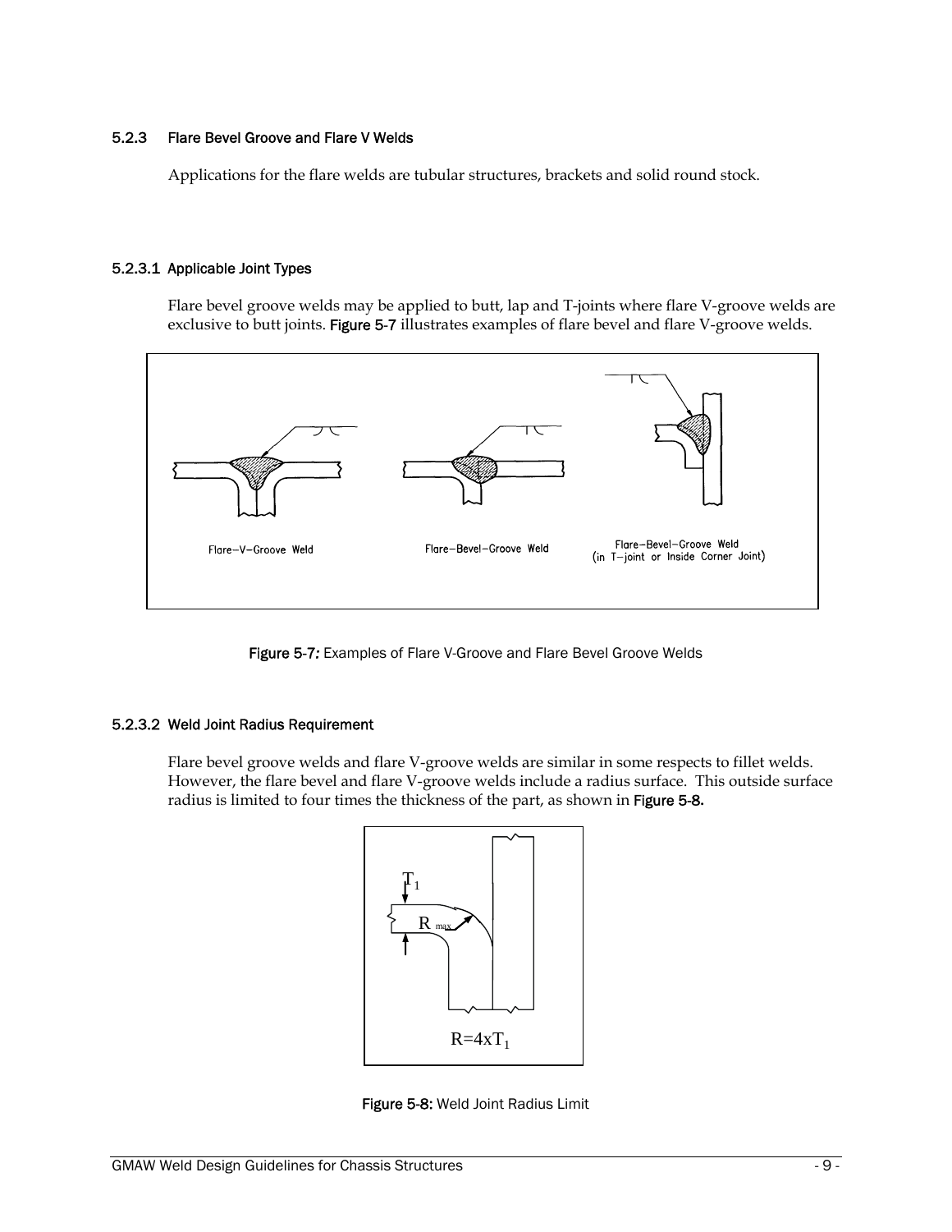# 5.2.3 Flare Bevel Groove and Flare V Welds

Applications for the flare welds are tubular structures, brackets and solid round stock.

# 5.2.3.1 Applicable Joint Types

Flare bevel groove welds may be applied to butt, lap and T-joints where flare V-groove welds are exclusive to butt joints. Figure 5-7 illustrates examples of flare bevel and flare V-groove welds.



Figure 5-7*:* Examples of Flare V-Groove and Flare Bevel Groove Welds

#### 5.2.3.2 Weld Joint Radius Requirement

Flare bevel groove welds and flare V-groove welds are similar in some respects to fillet welds. However, the flare bevel and flare V-groove welds include a radius surface. This outside surface radius is limited to four times the thickness of the part, as shown in Figure 5-8**.** 



Figure 5-8: Weld Joint Radius Limit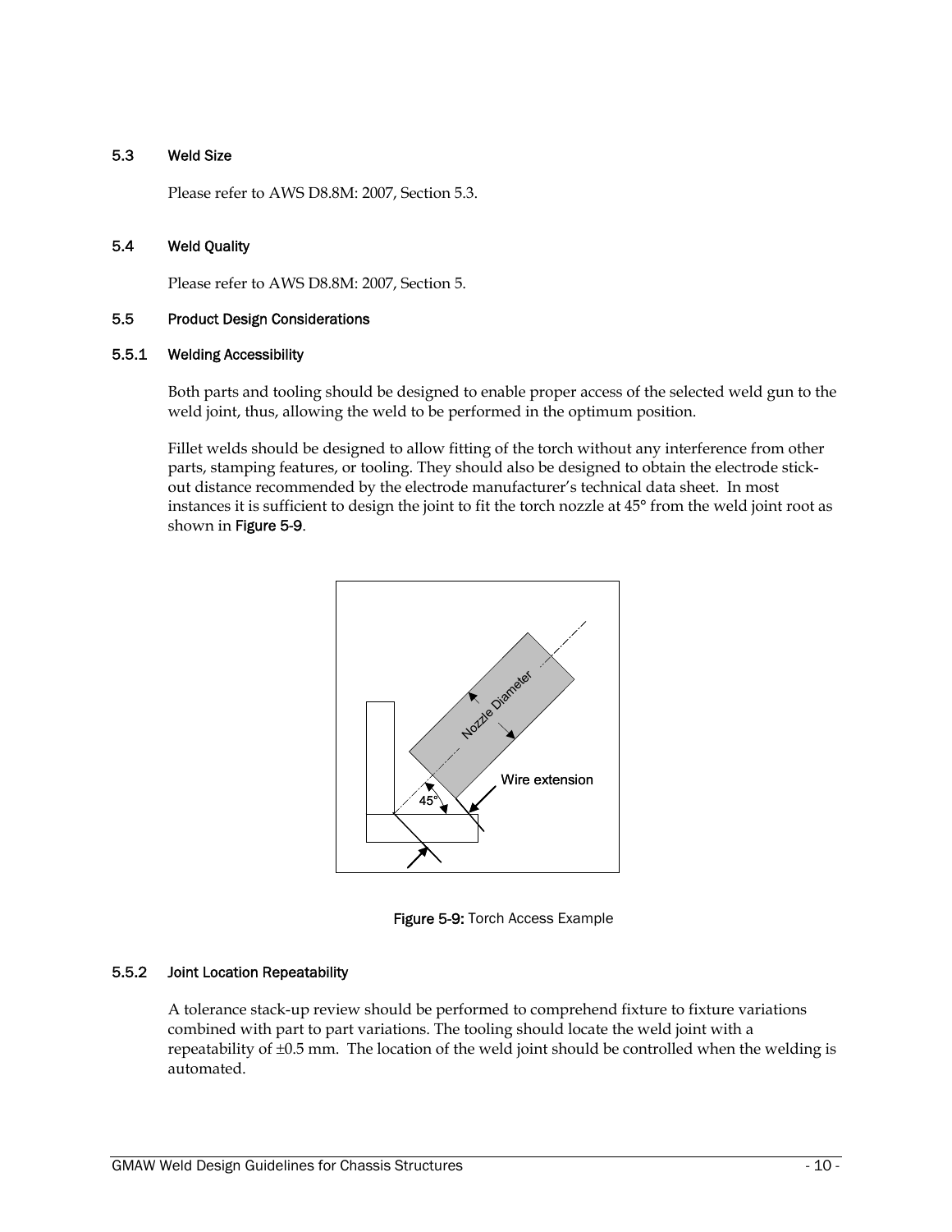# 5.3 Weld Size

Please refer to AWS D8.8M: 2007, Section 5.3.

# 5.4 Weld Quality

Please refer to AWS D8.8M: 2007, Section 5.

#### 5.5 Product Design Considerations

#### 5.5.1 Welding Accessibility

Both parts and tooling should be designed to enable proper access of the selected weld gun to the weld joint, thus, allowing the weld to be performed in the optimum position.

Fillet welds should be designed to allow fitting of the torch without any interference from other parts, stamping features, or tooling. They should also be designed to obtain the electrode stickout distance recommended by the electrode manufacturer's technical data sheet. In most instances it is sufficient to design the joint to fit the torch nozzle at 45° from the weld joint root as shown in Figure 5-9.



Figure 5-9: Torch Access Example

#### 5.5.2 Joint Location Repeatability

A tolerance stack-up review should be performed to comprehend fixture to fixture variations combined with part to part variations. The tooling should locate the weld joint with a repeatability of ±0.5 mm. The location of the weld joint should be controlled when the welding is automated.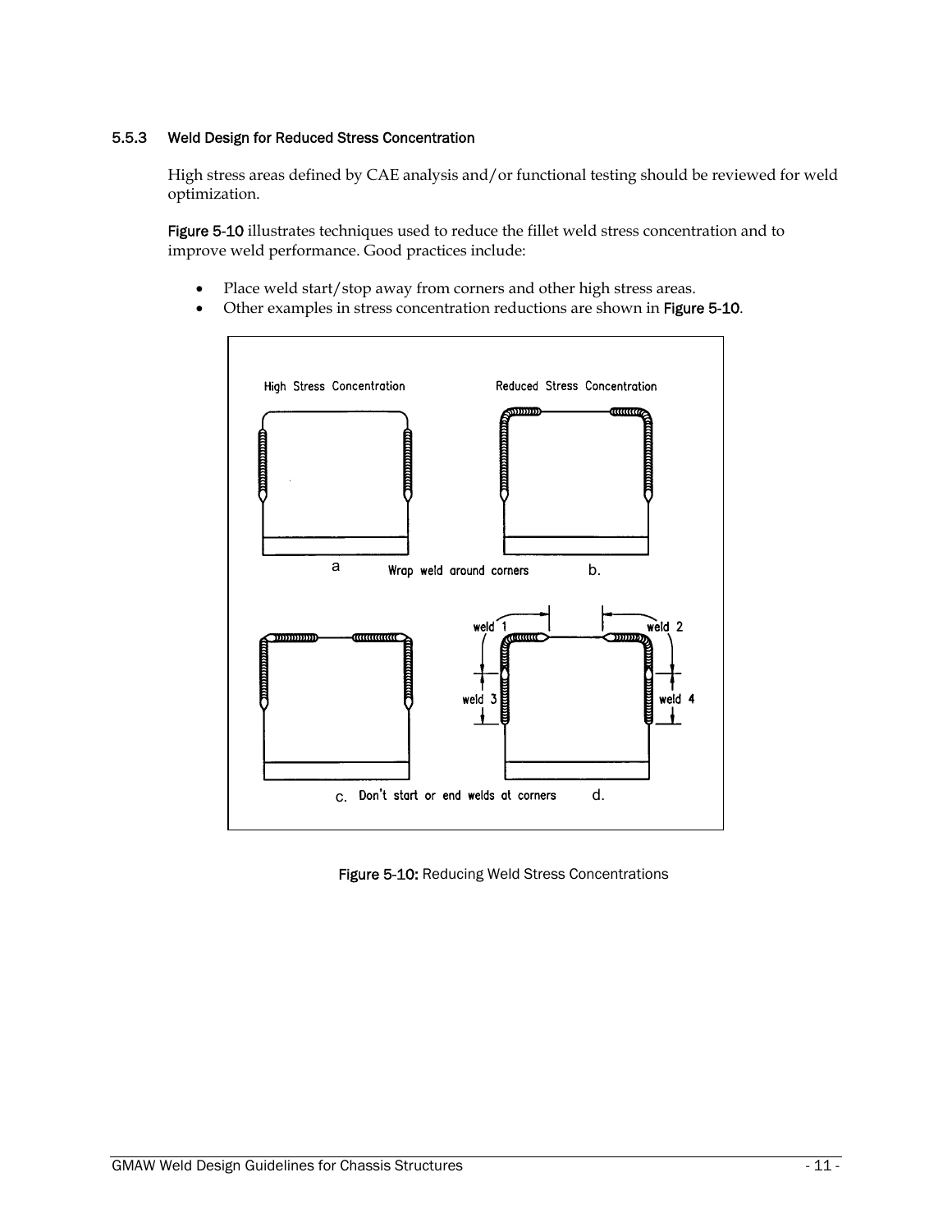# 5.5.3 Weld Design for Reduced Stress Concentration

High stress areas defined by CAE analysis and/or functional testing should be reviewed for weld optimization.

Figure 5-10 illustrates techniques used to reduce the fillet weld stress concentration and to improve weld performance. Good practices include:

- Place weld start/stop away from corners and other high stress areas.
- Other examples in stress concentration reductions are shown in Figure 5-10.



Figure 5-10: Reducing Weld Stress Concentrations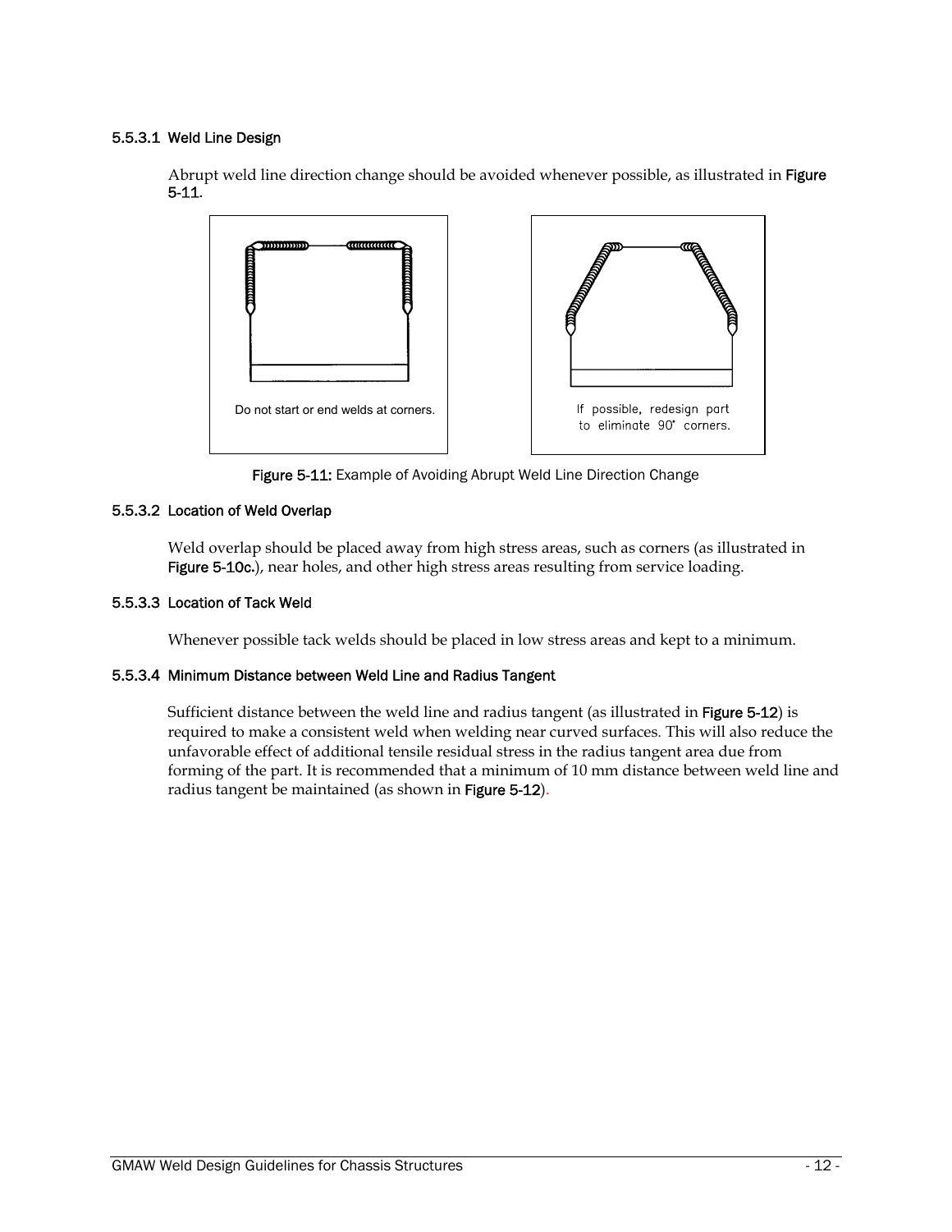#### 5.5.3.1 Weld Line Design

Abrupt weld line direction change should be avoided whenever possible, as illustrated in Figure 5-11.



Figure 5-11: Example of Avoiding Abrupt Weld Line Direction Change

# 5.5.3.2 Location of Weld Overlap

Weld overlap should be placed away from high stress areas, such as corners (as illustrated in Figure 5-10c**.**), near holes, and other high stress areas resulting from service loading.

# 5.5.3.3 Location of Tack Weld

Whenever possible tack welds should be placed in low stress areas and kept to a minimum.

#### 5.5.3.4 Minimum Distance between Weld Line and Radius Tangent

Sufficient distance between the weld line and radius tangent (as illustrated in Figure 5-12) is required to make a consistent weld when welding near curved surfaces. This will also reduce the unfavorable effect of additional tensile residual stress in the radius tangent area due from forming of the part. It is recommended that a minimum of 10 mm distance between weld line and radius tangent be maintained (as shown in Figure 5-12).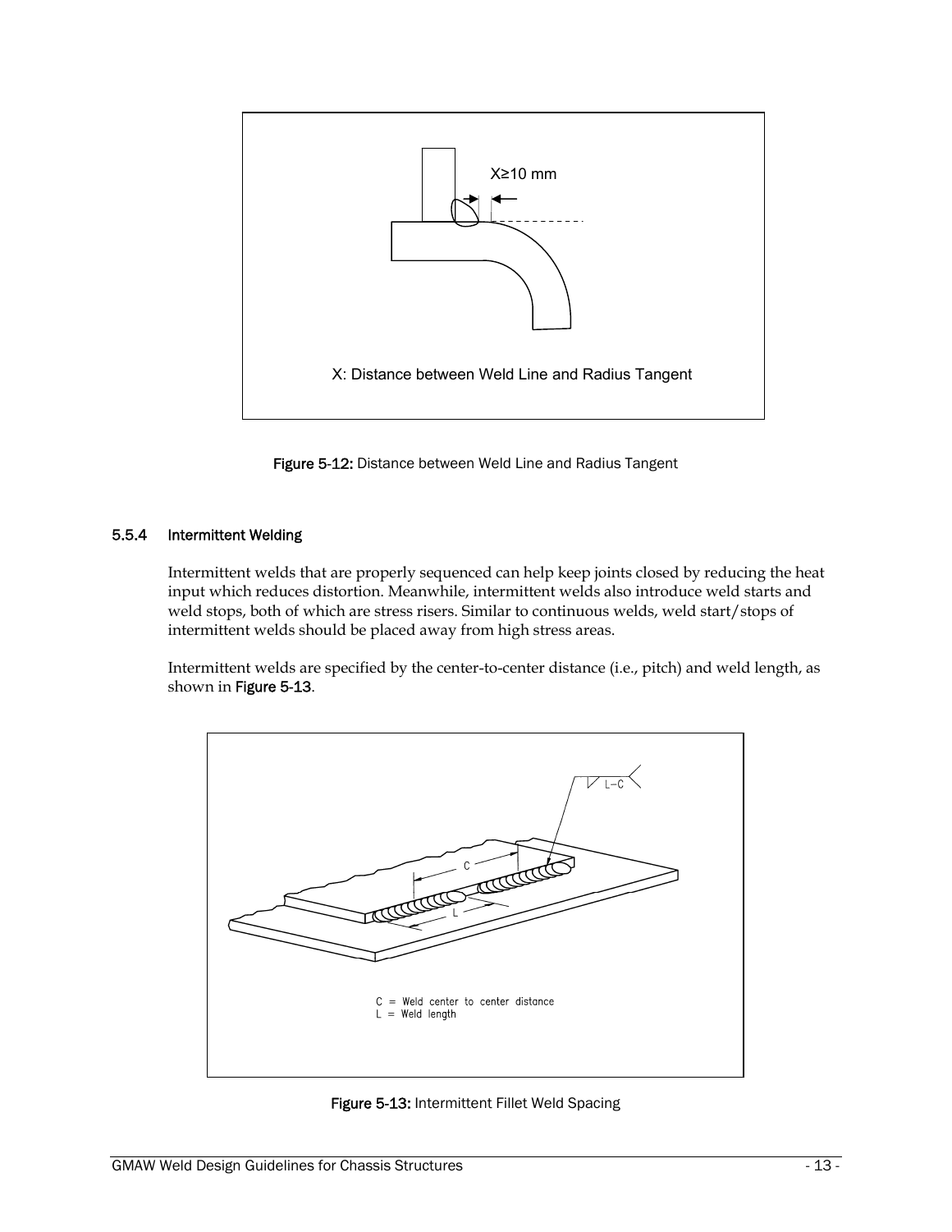

Figure 5-12: Distance between Weld Line and Radius Tangent

# 5.5.4 Intermittent Welding

Intermittent welds that are properly sequenced can help keep joints closed by reducing the heat input which reduces distortion. Meanwhile, intermittent welds also introduce weld starts and weld stops, both of which are stress risers. Similar to continuous welds, weld start/stops of intermittent welds should be placed away from high stress areas.

Intermittent welds are specified by the center-to-center distance (i.e., pitch) and weld length, as shown in Figure 5-13.



Figure 5-13: Intermittent Fillet Weld Spacing